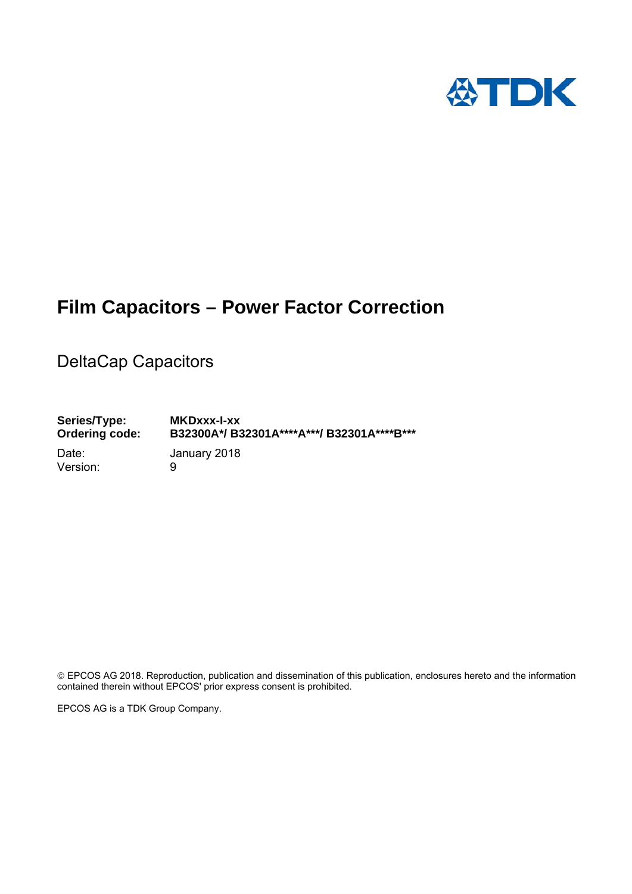

## **Film Capacitors – Power Factor Correction**

DeltaCap Capacitors

**Series/Type: MKDxxx-I-xx Ordering code: B32300A\*/ B32301A\*\*\*\*A\*\*\*/ B32301A\*\*\*\*B\*\*\***  Date: January 2018 Version: 9

 EPCOS AG 2018. Reproduction, publication and dissemination of this publication, enclosures hereto and the information contained therein without EPCOS' prior express consent is prohibited.

EPCOS AG is a TDK Group Company.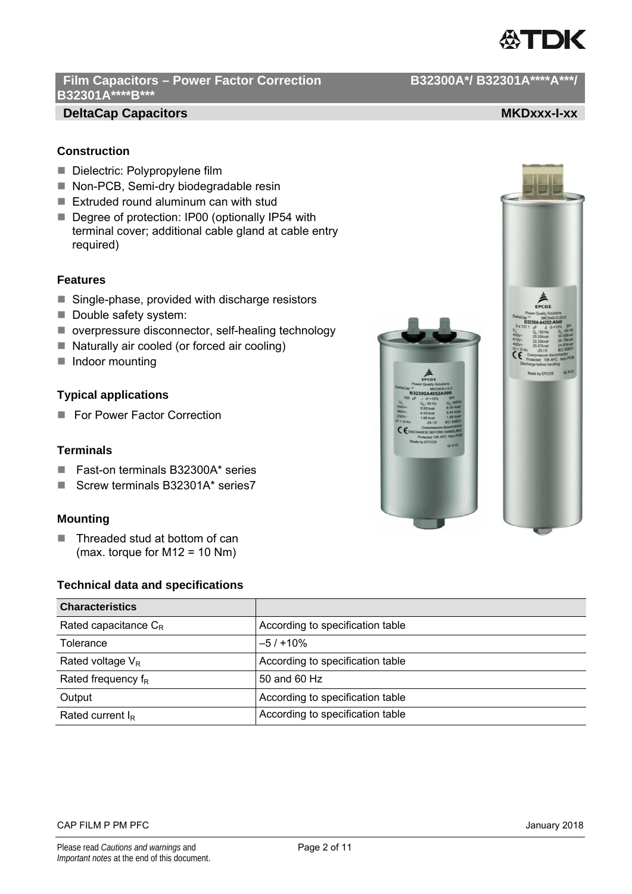

## Film Capacitors - Power Factor Correction **B32300A\*/ B32301A\*\*\*\*A\*\*\*/ B32301A\*\*\*\*B\*\*\***

## **DeltaCap Capacitors MKDxxx-I-xx MKDxxx-I-xx**

## **Construction**

- Dielectric: Polypropylene film
- Non-PCB, Semi-dry biodegradable resin
- Extruded round aluminum can with stud
- Degree of protection: IP00 (optionally IP54 with terminal cover; additional cable gland at cable entry required)

## **Features**

- $\blacksquare$  Single-phase, provided with discharge resistors
- Double safety system:
- overpressure disconnector, self-healing technology
- Naturally air cooled (or forced air cooling)
- Indoor mounting

## **Typical applications**

For Power Factor Correction

## **Terminals**

- Fast-on terminals B32300A\* series
- Screw terminals B32301A\* series7

## **Mounting**

■ Threaded stud at bottom of can (max. torque for M12 = 10 Nm)

## **Technical data and specifications**

| <b>Characteristics</b>  |                                  |
|-------------------------|----------------------------------|
| Rated capacitance $C_R$ | According to specification table |
| Tolerance               | $-5/110%$                        |
| Rated voltage $V_R$     | According to specification table |
| Rated frequency $f_R$   | 50 and 60 Hz                     |
| Output                  | According to specification table |
| Rated current $I_R$     | According to specification table |







### CAP FILM P PM PFC **CAP FILM P PM PFC CAP FILM P PM PTC**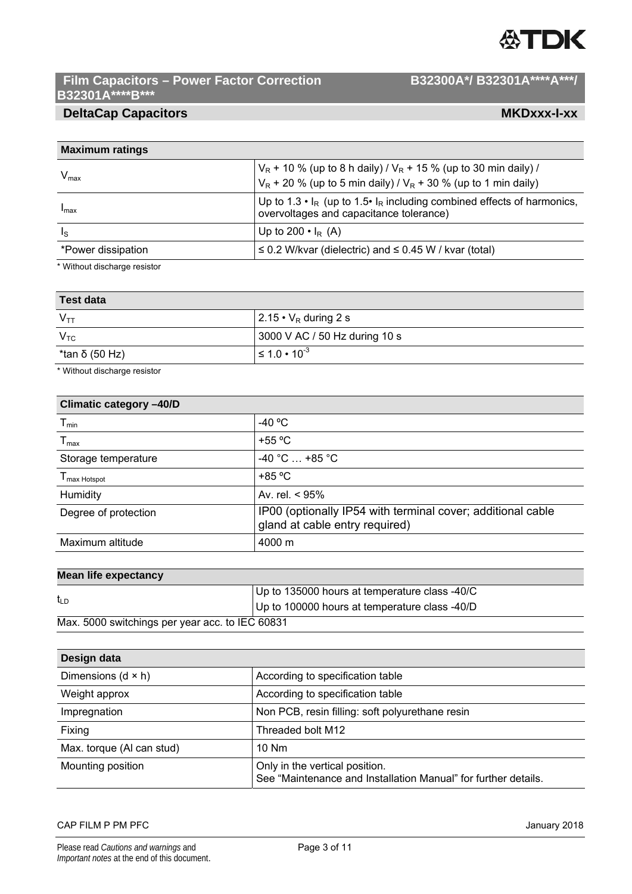## **公TDK**

## Film Capacitors – Power Factor Correction B32300A\*/ B32301A\*\*\*\*A\*\*\*/ **B32301A\*\*\*\*B\*\*\***

## **DeltaCap Capacitors MKDxxx-I-xx MKDxxx-I-xx**

| <b>Maximum ratings</b>  |                                                                                                                                                        |
|-------------------------|--------------------------------------------------------------------------------------------------------------------------------------------------------|
| $V_{\text{max}}$        | $V_R$ + 10 % (up to 8 h daily) / $V_R$ + 15 % (up to 30 min daily) /<br>$V_R$ + 20 % (up to 5 min daily) / $V_R$ + 30 % (up to 1 min daily)            |
| Imax                    | Up to 1.3 $\cdot$ I <sub>R</sub> (up to 1.5 $\cdot$ I <sub>R</sub> including combined effects of harmonics,<br>overvoltages and capacitance tolerance) |
| $\mathsf{I}_\mathsf{S}$ | Up to 200 $\cdot$ I <sub>R</sub> (A)                                                                                                                   |
| *Power dissipation      | $\leq$ 0.2 W/kvar (dielectric) and $\leq$ 0.45 W / kvar (total)                                                                                        |

\* Without discharge resistor

| Test data                  |                               |
|----------------------------|-------------------------------|
| $\mathsf{V}_{\mathsf{TT}}$ | $2.15 \cdot V_R$ during 2 s   |
| $V_{\mathsf{TC}}$          | 3000 V AC / 50 Hz during 10 s |
| *tan δ (50 Hz)             | $\leq 1.0 \cdot 10^{-3}$      |

\* Without discharge resistor

| -40 $^{\circ}$ C                                                                              |
|-----------------------------------------------------------------------------------------------|
| $+55 °C$                                                                                      |
| $-40$ °C $$ +85 °C                                                                            |
| $+85 °C$                                                                                      |
| Av. rel. $< 95\%$                                                                             |
| IP00 (optionally IP54 with terminal cover; additional cable<br>gland at cable entry required) |
| 4000 m                                                                                        |
|                                                                                               |

## **Mean life expectancy**

|                                                 | Up to 135000 hours at temperature class -40/C |
|-------------------------------------------------|-----------------------------------------------|
| t <sub>LD</sub>                                 | Up to 100000 hours at temperature class -40/D |
| Max. 5000 switchings per year acc. to IEC 60831 |                                               |

| Design data               |                                                                                                  |
|---------------------------|--------------------------------------------------------------------------------------------------|
| Dimensions $(d \times h)$ | According to specification table                                                                 |
| Weight approx             | According to specification table                                                                 |
| Impregnation              | Non PCB, resin filling: soft polyurethane resin                                                  |
| Fixing                    | Threaded bolt M12                                                                                |
| Max. torque (Al can stud) | $10$ Nm                                                                                          |
| Mounting position         | Only in the vertical position.<br>See "Maintenance and Installation Manual" for further details. |

## CAP FILM P PM PFC **CAP FILM P PM PFC**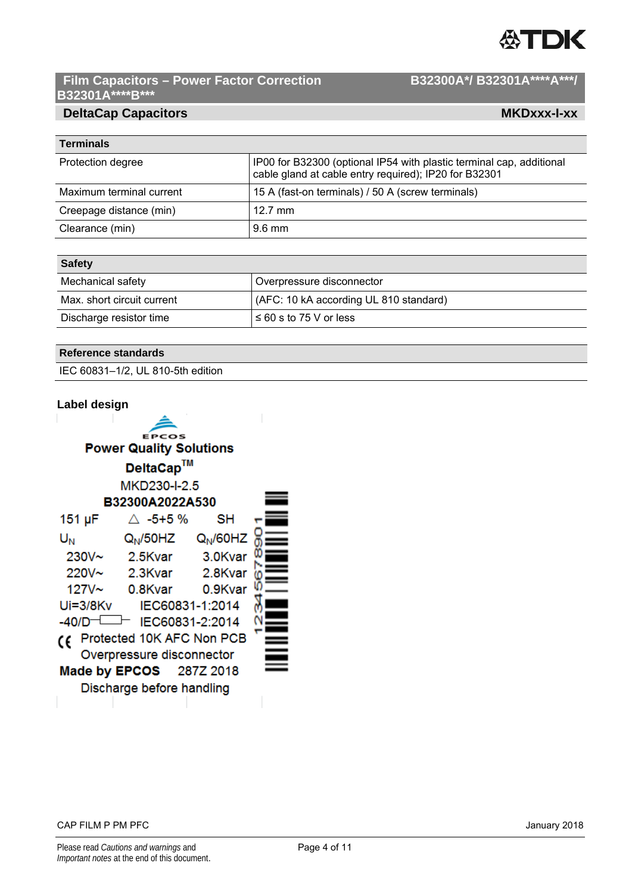## **公TDK**

 $\overline{\phantom{a}}$ 

## Film Capacitors – Power Factor Correction B32300A\*/ B32301A\*\*\*\*A\*\*\*/ **B32301A\*\*\*\*B\*\*\***

## **DeltaCap Capacitors MKDxxx-I-xx MKDxxx-I-xx**

| <b>Terminals</b>         |                                                                                                                               |
|--------------------------|-------------------------------------------------------------------------------------------------------------------------------|
| Protection degree        | IP00 for B32300 (optional IP54 with plastic terminal cap, additional<br>cable gland at cable entry required); IP20 for B32301 |
| Maximum terminal current | 15 A (fast-on terminals) / 50 A (screw terminals)                                                                             |
| Creepage distance (min)  | $12.7 \text{ mm}$                                                                                                             |
| Clearance (min)          | $9.6 \text{ mm}$                                                                                                              |

| <b>Safety</b>              |                                        |
|----------------------------|----------------------------------------|
| Mechanical safety          | Overpressure disconnector              |
| Max. short circuit current | (AFC: 10 kA according UL 810 standard) |
| Discharge resistor time    | $\leq 60$ s to 75 V or less            |

| <b>Reference standards</b> |  |
|----------------------------|--|
|----------------------------|--|

IEC 60831–1/2, UL 810-5th edition

| Label design      |                                |         |  |
|-------------------|--------------------------------|---------|--|
|                   |                                |         |  |
|                   | <b>EPCOS</b>                   |         |  |
|                   | <b>Power Quality Solutions</b> |         |  |
|                   | DeltaCap™                      |         |  |
|                   | MKD230-I-2.5                   |         |  |
|                   | B32300A2022A530                |         |  |
| 151 µF            | $\triangle$ -5+5 %             | SН      |  |
| U <sub>N</sub>    | $Q_N$ /50HZ $Q_N$ /60HZ        |         |  |
| $230V -$          | 2.5Kvar                        | 3.0Kvar |  |
| 220V~             | 2.3Kvar                        | 2.8Kvar |  |
| 127V <sub>~</sub> | 0.8Kvar                        | 0.9Kvar |  |
| Ui=3/8Kv          | IEC60831-1:2014                |         |  |
| $-40/D$           | IEC60831-2:2014                |         |  |
| CE                | Protected 10K AFC Non PCB      |         |  |
|                   | Overpressure disconnector      |         |  |
|                   | <b>Made by EPCOS</b> 287Z 2018 |         |  |
|                   | Discharge before handling      |         |  |

CAP FILM P PM PFC January 2018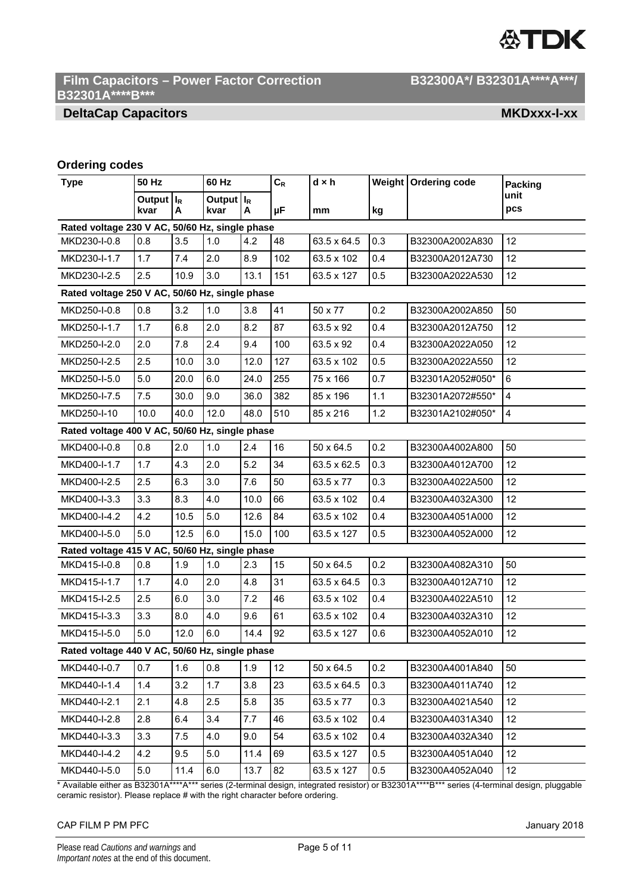# **ATDK**

## Film Capacitors - Power Factor Correction **B32300A\*/ B32301A\*\*\*\*A\*\*\*/ B32301A\*\*\*\*B\*\*\***

## **DeltaCap Capacitors MKDxxx-I-xx MKDxxx-I-xx**

## **Ordering codes**

| <b>Type</b>                                    | 50 Hz                 |            | 60 Hz                                       |      | $C_R$ | $d \times h$ |     | Weight   Ordering code | <b>Packing</b>          |  |
|------------------------------------------------|-----------------------|------------|---------------------------------------------|------|-------|--------------|-----|------------------------|-------------------------|--|
|                                                | <b>Output</b><br>kvar | $I_R$<br>A | Output $\vert$ $\vert$ <sub>R</sub><br>kvar | Α    | μF    | mm           | kg  |                        | unit<br>pcs             |  |
| Rated voltage 230 V AC, 50/60 Hz, single phase |                       |            |                                             |      |       |              |     |                        |                         |  |
| MKD230-I-0.8                                   | 0.8                   | 3.5        | 1.0                                         | 4.2  | 48    | 63.5 x 64.5  | 0.3 | B32300A2002A830        | 12                      |  |
| MKD230-I-1.7                                   | 1.7                   | 7.4        | 2.0                                         | 8.9  | 102   | 63.5 x 102   | 0.4 | B32300A2012A730        | 12                      |  |
| MKD230-I-2.5                                   | 2.5                   | 10.9       | 3.0                                         | 13.1 | 151   | 63.5 x 127   | 0.5 | B32300A2022A530        | 12                      |  |
| Rated voltage 250 V AC, 50/60 Hz, single phase |                       |            |                                             |      |       |              |     |                        |                         |  |
| MKD250-I-0.8                                   | 0.8                   | 3.2        | 1.0                                         | 3.8  | 41    | 50 x 77      | 0.2 | B32300A2002A850        | 50                      |  |
| MKD250-I-1.7                                   | 1.7                   | 6.8        | 2.0                                         | 8.2  | 87    | 63.5 x 92    | 0.4 | B32300A2012A750        | 12                      |  |
| MKD250-I-2.0                                   | 2.0                   | 7.8        | 2.4                                         | 9.4  | 100   | 63.5 x 92    | 0.4 | B32300A2022A050        | 12                      |  |
| MKD250-I-2.5                                   | 2.5                   | 10.0       | 3.0                                         | 12.0 | 127   | 63.5 x 102   | 0.5 | B32300A2022A550        | 12                      |  |
| MKD250-I-5.0                                   | 5.0                   | 20.0       | 6.0                                         | 24.0 | 255   | 75 x 166     | 0.7 | B32301A2052#050*       | 6                       |  |
| MKD250-I-7.5                                   | 7.5                   | 30.0       | 9.0                                         | 36.0 | 382   | 85 x 196     | 1.1 | B32301A2072#550*       | 4                       |  |
| MKD250-I-10                                    | 10.0                  | 40.0       | 12.0                                        | 48.0 | 510   | 85 x 216     | 1.2 | B32301A2102#050*       | $\overline{\mathbf{4}}$ |  |
| Rated voltage 400 V AC, 50/60 Hz, single phase |                       |            |                                             |      |       |              |     |                        |                         |  |
| MKD400-I-0.8                                   | 0.8                   | 2.0        | 1.0                                         | 2.4  | 16    | 50 x 64.5    | 0.2 | B32300A4002A800        | 50                      |  |
| MKD400-I-1.7                                   | 1.7                   | 4.3        | 2.0                                         | 5.2  | 34    | 63.5 x 62.5  | 0.3 | B32300A4012A700        | 12                      |  |
| MKD400-I-2.5                                   | 2.5                   | 6.3        | 3.0                                         | 7.6  | 50    | 63.5 x 77    | 0.3 | B32300A4022A500        | 12                      |  |
| MKD400-I-3.3                                   | 3.3                   | 8.3        | 4.0                                         | 10.0 | 66    | 63.5 x 102   | 0.4 | B32300A4032A300        | 12                      |  |
| MKD400-I-4.2                                   | 4.2                   | 10.5       | 5.0                                         | 12.6 | 84    | 63.5 x 102   | 0.4 | B32300A4051A000        | 12                      |  |
| MKD400-I-5.0                                   | 5.0                   | 12.5       | 6.0                                         | 15.0 | 100   | 63.5 x 127   | 0.5 | B32300A4052A000        | 12                      |  |
| Rated voltage 415 V AC, 50/60 Hz, single phase |                       |            |                                             |      |       |              |     |                        |                         |  |
| MKD415-I-0.8                                   | 0.8                   | 1.9        | 1.0                                         | 2.3  | 15    | 50 x 64.5    | 0.2 | B32300A4082A310        | 50                      |  |
| MKD415-I-1.7                                   | 1.7                   | 4.0        | 2.0                                         | 4.8  | 31    | 63.5 x 64.5  | 0.3 | B32300A4012A710        | 12                      |  |
| MKD415-I-2.5                                   | 2.5                   | 6.0        | 3.0                                         | 7.2  | 46    | 63.5 x 102   | 0.4 | B32300A4022A510        | 12                      |  |
| MKD415-I-3.3                                   | 3.3                   | 8.0        | 4.0                                         | 9.6  | 61    | 63.5 x 102   | 0.4 | B32300A4032A310        | 12                      |  |
| MKD415-I-5.0                                   | 5.0                   | 12.0       | 6.0                                         | 14.4 | 92    | 63.5 x 127   | 0.6 | B32300A4052A010        | 12                      |  |
| Rated voltage 440 V AC, 50/60 Hz, single phase |                       |            |                                             |      |       |              |     |                        |                         |  |
| MKD440-I-0.7                                   | 0.7                   | 1.6        | 0.8                                         | 1.9  | 12    | 50 x 64.5    | 0.2 | B32300A4001A840        | 50                      |  |
| MKD440-I-1.4                                   | 1.4                   | 3.2        | 1.7                                         | 3.8  | 23    | 63.5 x 64.5  | 0.3 | B32300A4011A740        | 12                      |  |
| MKD440-I-2.1                                   | 2.1                   | 4.8        | 2.5                                         | 5.8  | 35    | 63.5 x 77    | 0.3 | B32300A4021A540        | 12                      |  |
| MKD440-I-2.8                                   | 2.8                   | 6.4        | 3.4                                         | 7.7  | 46    | 63.5 x 102   | 0.4 | B32300A4031A340        | 12                      |  |
| MKD440-I-3.3                                   | 3.3                   | $7.5\,$    | 4.0                                         | 9.0  | 54    | 63.5 x 102   | 0.4 | B32300A4032A340        | 12                      |  |
| MKD440-I-4.2                                   | 4.2                   | 9.5        | 5.0                                         | 11.4 | 69    | 63.5 x 127   | 0.5 | B32300A4051A040        | 12                      |  |
| MKD440-I-5.0                                   | 5.0                   | 11.4       | 6.0                                         | 13.7 | 82    | 63.5 x 127   | 0.5 | B32300A4052A040        | 12                      |  |

\* Available either as B32301A\*\*\*\*A\*\*\* series (2-terminal design, integrated resistor) or B32301A\*\*\*\*B\*\*\* series (4-terminal design, pluggable ceramic resistor). Please replace # with the right character before ordering.

### CAP FILM P PM PFC January 2018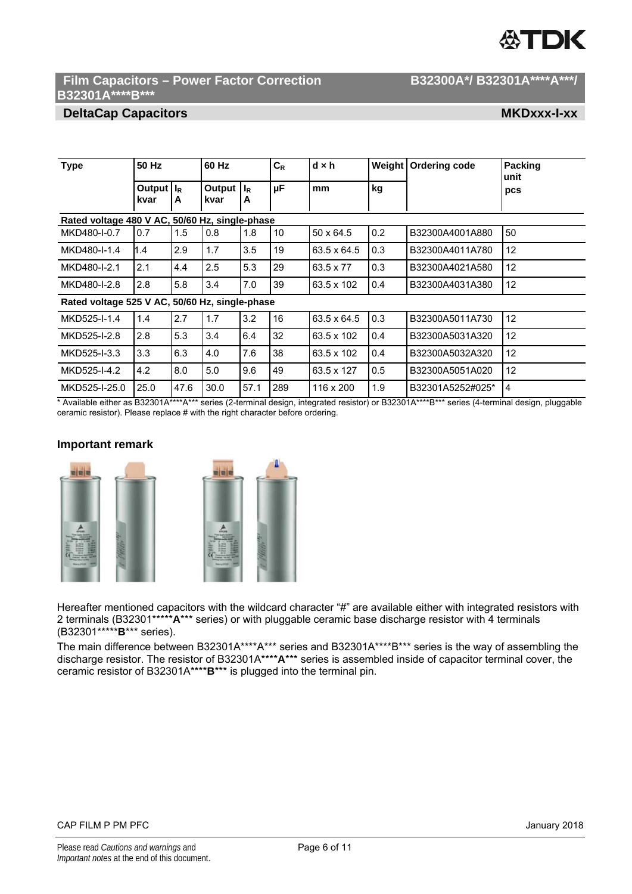# ГDК

## Film Capacitors - Power Factor Correction **B32300A\*/ B32301A\*\*\*\*A\*\*\*/ B32301A\*\*\*\*B\*\*\***

## **DeltaCap Capacitors MKDxxx-I-xx MKDxxx-I-xx**

| 50 Hz<br><b>Type</b><br>Output $\vert I_R \vert$<br>kvar |      | 60 Hz                            |      | $C_R$<br>μF | $d \times h$ | kg               | Weight   Ordering code | Packing<br>unit<br>pcs |                |
|----------------------------------------------------------|------|----------------------------------|------|-------------|--------------|------------------|------------------------|------------------------|----------------|
|                                                          | A    | Output $\vert I_R \vert$<br>kvar | A    |             | mm           |                  |                        |                        |                |
| Rated voltage 480 V AC, 50/60 Hz, single-phase           |      |                                  |      |             |              |                  |                        |                        |                |
| MKD480-I-0.7                                             | 0.7  | 1.5                              | 0.8  | 1.8         | 10           | $50 \times 64.5$ | 0.2                    | B32300A4001A880        | 50             |
| MKD480-I-1.4                                             | 1.4  | 2.9                              | 1.7  | 3.5         | 19           | 63.5 x 64.5      | 0.3                    | B32300A4011A780        | 12             |
| MKD480-I-2.1                                             | 2.1  | 4.4                              | 2.5  | 5.3         | 29           | 63.5 x 77        | 0.3                    | B32300A4021A580        | 12             |
| MKD480-I-2.8                                             | 2.8  | 5.8                              | 3.4  | 7.0         | 39           | 63.5 x 102       | 0.4                    | B32300A4031A380        | 12             |
| Rated voltage 525 V AC, 50/60 Hz, single-phase           |      |                                  |      |             |              |                  |                        |                        |                |
| MKD525-I-1.4                                             | 1.4  | 2.7                              | 1.7  | 3.2         | 16           | 63.5 x 64.5      | 0.3                    | B32300A5011A730        | 12             |
| MKD525-I-2.8                                             | 2.8  | 5.3                              | 3.4  | 6.4         | 32           | 63.5 x 102       | 0.4                    | B32300A5031A320        | 12             |
| MKD525-I-3.3                                             | 3.3  | 6.3                              | 4.0  | 7.6         | 38           | 63.5 x 102       | 0.4                    | B32300A5032A320        | 12             |
| MKD525-I-4.2                                             | 4.2  | 8.0                              | 5.0  | 9.6         | 49           | 63.5 x 127       | 0.5                    | B32300A5051A020        | 12             |
| MKD525-I-25.0                                            | 25.0 | 47.6                             | 30.0 | 57.1        | 289          | 116 x 200        | 1.9                    | B32301A5252#025*       | $\overline{4}$ |

\* Available either as B32301A\*\*\*\*A\*\*\* series (2-terminal design, integrated resistor) or B32301A\*\*\*\*B\*\*\* series (4-terminal design, pluggable ceramic resistor). Please replace # with the right character before ordering.

## **Important remark**



Hereafter mentioned capacitors with the wildcard character "#" are available either with integrated resistors with 2 terminals (B32301\*\*\*\*\***A**\*\*\* series) or with pluggable ceramic base discharge resistor with 4 terminals (B32301\*\*\*\*\***B**\*\*\* series).

The main difference between B32301A\*\*\*\*A\*\*\* series and B32301A\*\*\*\*B\*\*\* series is the way of assembling the discharge resistor. The resistor of B32301A\*\*\*\***A**\*\*\* series is assembled inside of capacitor terminal cover, the ceramic resistor of B32301A\*\*\*\***B**\*\*\* is plugged into the terminal pin.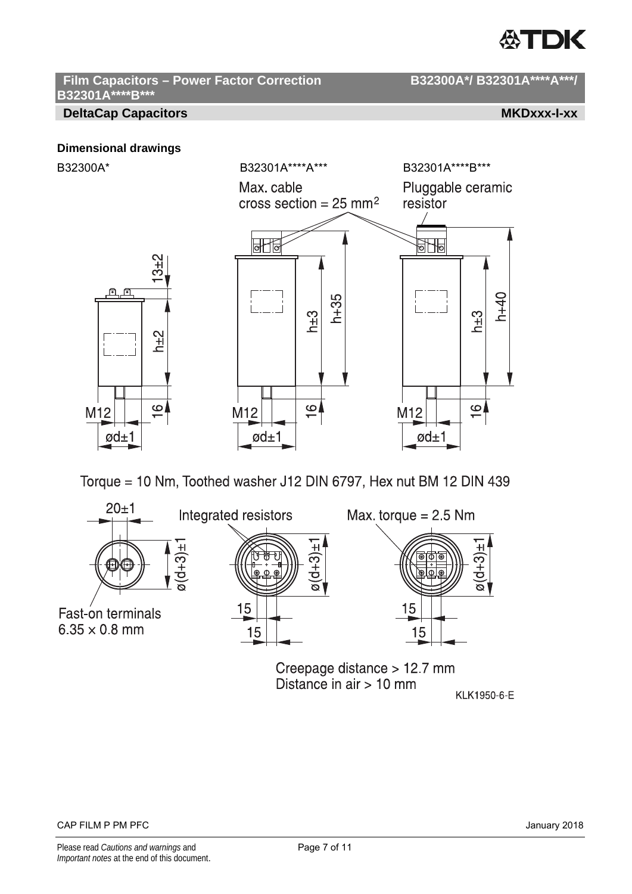## ∰TDK

## Film Capacitors - Power Factor Correction B32300A\*/ B32301A\*\*\*\*A\*\*\*/ **B32301A\*\*\*\*B\*\*\***

## **DeltaCap Capacitors MKDxxx-I-xx MKDxxx-I-xx**

## **Dimensional drawings**



Torque = 10 Nm, Toothed washer J12 DIN 6797, Hex nut BM 12 DIN 439



Creepage distance > 12.7 mm Distance in  $air > 10$  mm KLK1950-6-E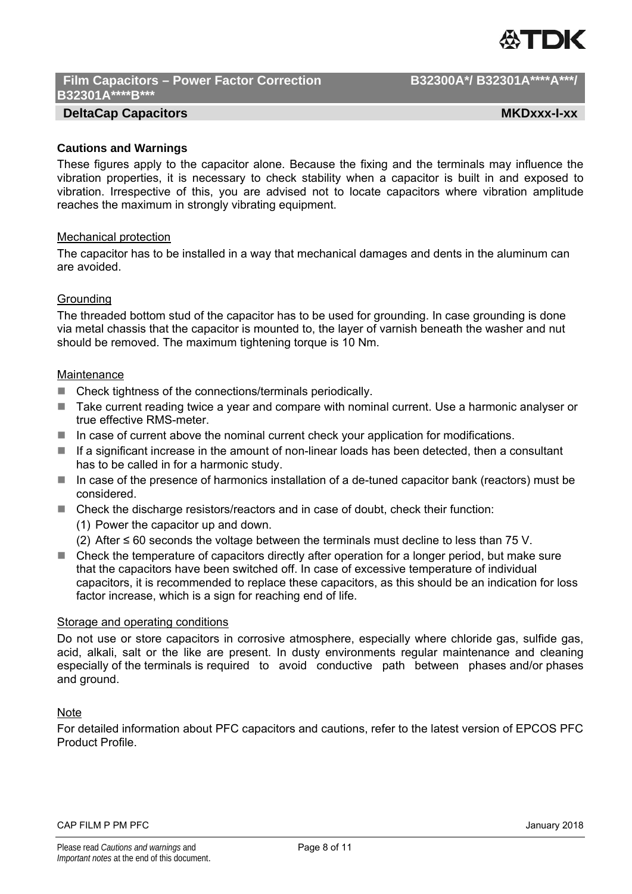

## Film Capacitors - Power Factor Correction **B32300A\*/ B32301A\*\*\*\*A\*\*\*/ B32301A\*\*\*\*B\*\*\***

## **DeltaCap Capacitors MKDxxx-I-xx MKDxxx-I-xx**

## **Cautions and Warnings**

These figures apply to the capacitor alone. Because the fixing and the terminals may influence the vibration properties, it is necessary to check stability when a capacitor is built in and exposed to vibration. Irrespective of this, you are advised not to locate capacitors where vibration amplitude reaches the maximum in strongly vibrating equipment.

## Mechanical protection

The capacitor has to be installed in a way that mechanical damages and dents in the aluminum can are avoided.

## **Grounding**

The threaded bottom stud of the capacitor has to be used for grounding. In case grounding is done via metal chassis that the capacitor is mounted to, the layer of varnish beneath the washer and nut should be removed. The maximum tightening torque is 10 Nm.

## **Maintenance**

- $\blacksquare$  Check tightness of the connections/terminals periodically.
- Take current reading twice a year and compare with nominal current. Use a harmonic analyser or true effective RMS-meter.
- In case of current above the nominal current check your application for modifications.
- $\blacksquare$  If a significant increase in the amount of non-linear loads has been detected, then a consultant has to be called in for a harmonic study.
- In case of the presence of harmonics installation of a de-tuned capacitor bank (reactors) must be considered.
- Check the discharge resistors/reactors and in case of doubt, check their function:
	- (1) Power the capacitor up and down.
	- (2) After ≤ 60 seconds the voltage between the terminals must decline to less than 75 V.
- Check the temperature of capacitors directly after operation for a longer period, but make sure that the capacitors have been switched off. In case of excessive temperature of individual capacitors, it is recommended to replace these capacitors, as this should be an indication for loss factor increase, which is a sign for reaching end of life.

## Storage and operating conditions

Do not use or store capacitors in corrosive atmosphere, especially where chloride gas, sulfide gas, acid, alkali, salt or the like are present. In dusty environments regular maintenance and cleaning especially of the terminals is required to avoid conductive path between phases and/or phases and ground.

## **Note**

For detailed information about PFC capacitors and cautions, refer to the latest version of EPCOS PFC Product Profile.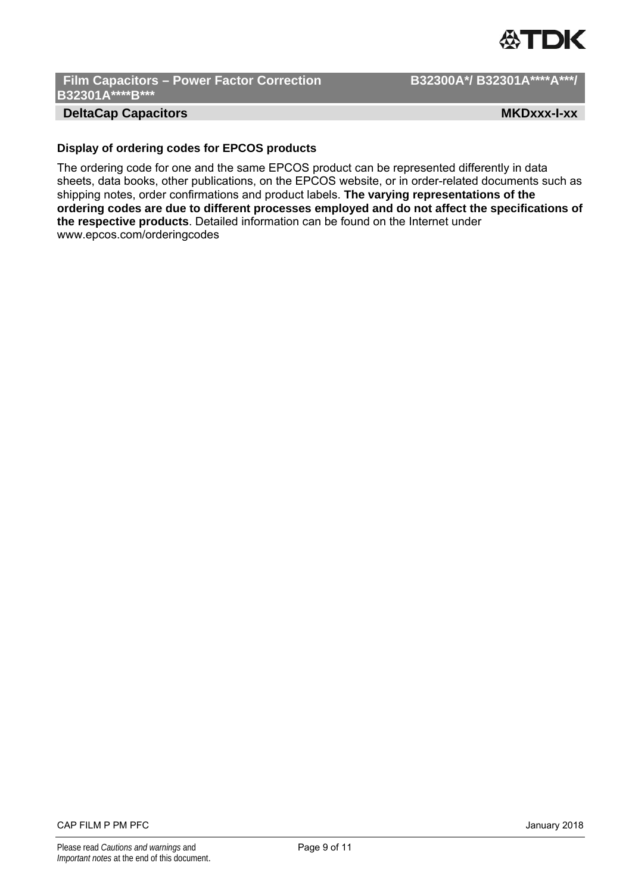

Film Capacitors - Power Factor Correction **B32300A\*/ B32301A\*\*\*\*A\*\*\*/ B32301A\*\*\*\*B\*\*\*** 

## **DeltaCap Capacitors MKDxxx-I-xx MKDxxx-I-xx**

## **Display of ordering codes for EPCOS products**

The ordering code for one and the same EPCOS product can be represented differently in data sheets, data books, other publications, on the EPCOS website, or in order-related documents such as shipping notes, order confirmations and product labels. **The varying representations of the ordering codes are due to different processes employed and do not affect the specifications of the respective products**. Detailed information can be found on the Internet under www.epcos.com/orderingcodes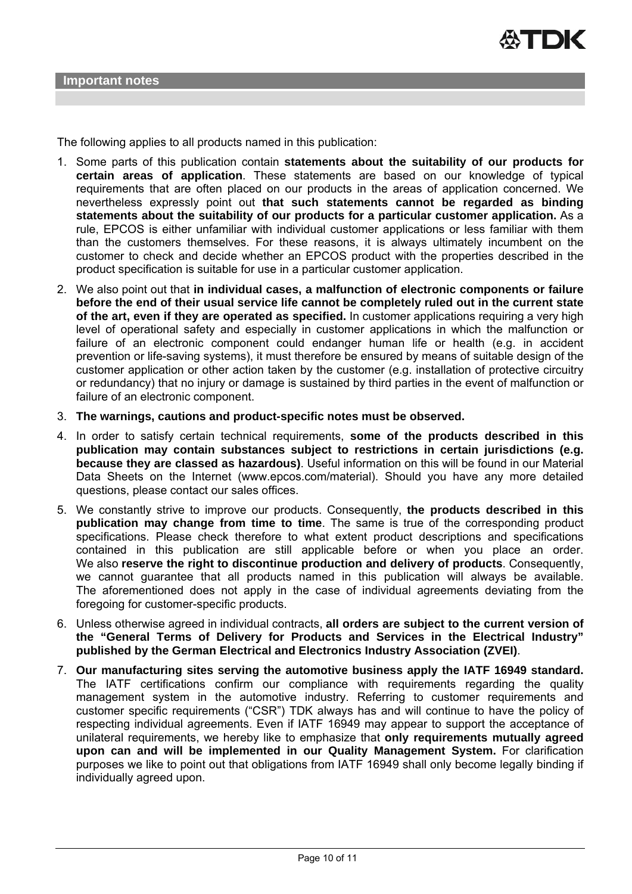The following applies to all products named in this publication:

- 1. Some parts of this publication contain **statements about the suitability of our products for certain areas of application**. These statements are based on our knowledge of typical requirements that are often placed on our products in the areas of application concerned. We nevertheless expressly point out **that such statements cannot be regarded as binding statements about the suitability of our products for a particular customer application.** As a rule, EPCOS is either unfamiliar with individual customer applications or less familiar with them than the customers themselves. For these reasons, it is always ultimately incumbent on the customer to check and decide whether an EPCOS product with the properties described in the product specification is suitable for use in a particular customer application.
- 2. We also point out that **in individual cases, a malfunction of electronic components or failure before the end of their usual service life cannot be completely ruled out in the current state of the art, even if they are operated as specified.** In customer applications requiring a very high level of operational safety and especially in customer applications in which the malfunction or failure of an electronic component could endanger human life or health (e.g. in accident prevention or life-saving systems), it must therefore be ensured by means of suitable design of the customer application or other action taken by the customer (e.g. installation of protective circuitry or redundancy) that no injury or damage is sustained by third parties in the event of malfunction or failure of an electronic component.
- 3. **The warnings, cautions and product-specific notes must be observed.**
- 4. In order to satisfy certain technical requirements, **some of the products described in this publication may contain substances subject to restrictions in certain jurisdictions (e.g. because they are classed as hazardous)**. Useful information on this will be found in our Material Data Sheets on the Internet (www.epcos.com/material). Should you have any more detailed questions, please contact our sales offices.
- 5. We constantly strive to improve our products. Consequently, **the products described in this publication may change from time to time**. The same is true of the corresponding product specifications. Please check therefore to what extent product descriptions and specifications contained in this publication are still applicable before or when you place an order. We also **reserve the right to discontinue production and delivery of products**. Consequently, we cannot guarantee that all products named in this publication will always be available. The aforementioned does not apply in the case of individual agreements deviating from the foregoing for customer-specific products.
- 6. Unless otherwise agreed in individual contracts, **all orders are subject to the current version of the "General Terms of Delivery for Products and Services in the Electrical Industry" published by the German Electrical and Electronics Industry Association (ZVEI)**.
- 7. **Our manufacturing sites serving the automotive business apply the IATF 16949 standard.** The IATF certifications confirm our compliance with requirements regarding the quality management system in the automotive industry. Referring to customer requirements and customer specific requirements ("CSR") TDK always has and will continue to have the policy of respecting individual agreements. Even if IATF 16949 may appear to support the acceptance of unilateral requirements, we hereby like to emphasize that **only requirements mutually agreed upon can and will be implemented in our Quality Management System.** For clarification purposes we like to point out that obligations from IATF 16949 shall only become legally binding if individually agreed upon.